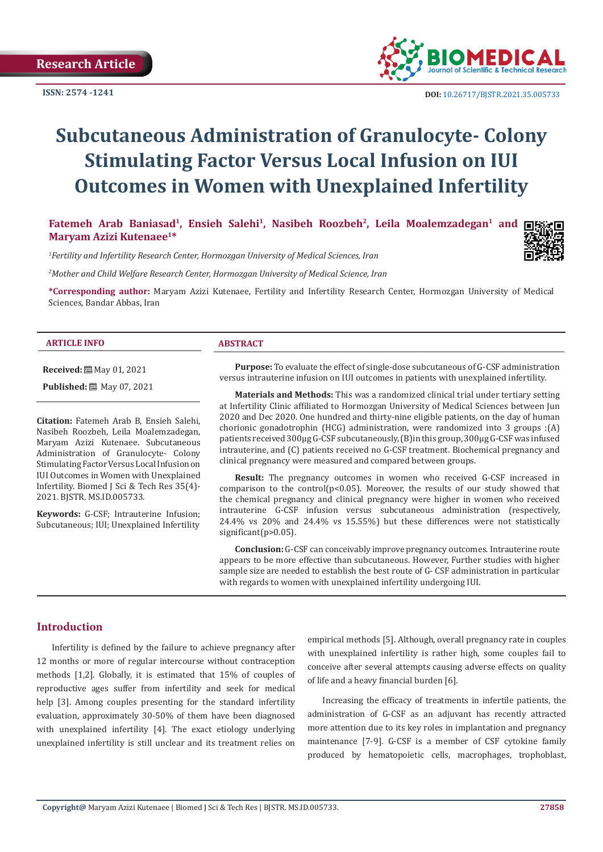

 **DOI:** [10.26717/BJSTR.2021.35.005733](http://dx.doi.org/10.26717/BJSTR.2021.35.005733)

# **Subcutaneous Administration of Granulocyte- Colony Stimulating Factor Versus Local Infusion on IUI Outcomes in Women with Unexplained Infertility**

Fatemeh Arab Baniasad<sup>1</sup>, Ensieh Salehi<sup>1</sup>, Nasibeh Roozbeh<sup>2</sup>, Leila Moalemzadegan<sup>1</sup> and **Maryam Azizi Kutenaee1\***

*1 Fertility and Infertility Research Center, Hormozgan University of Medical Sciences, Iran*

*2 Mother and Child Welfare Research Center, Hormozgan University of Medical Science, Iran*

**\*Corresponding author:** Maryam Azizi Kutenaee, Fertility and Infertility Research Center, Hormozgan University of Medical Sciences, Bandar Abbas, Iran

#### **ARTICLE INFO ABSTRACT**

**Received:** May 01, 2021 **Published:** 圖 May 07, 2021

2021. BJSTR. MS.ID.005733.

**Citation:** Fatemeh Arab B, Ensieh Salehi, Nasibeh Roozbeh, Leila Moalemzadegan, Maryam Azizi Kutenaee. Subcutaneous Administration of Granulocyte- Colony Stimulating Factor Versus Local Infusion on IUI Outcomes in Women with Unexplained Infertility. Biomed J Sci & Tech Res 35(4)-

**Keywords:** G-CSF; Intrauterine Infusion; Subcutaneous; IUI; Unexplained Infertility

**Purpose:** To evaluate the effect of single-dose subcutaneous of G-CSF administration versus intrauterine infusion on IUI outcomes in patients with unexplained infertility.

**Materials and Methods:** This was a randomized clinical trial under tertiary setting at Infertility Clinic affiliated to Hormozgan University of Medical Sciences between Jun 2020 and Dec 2020. One hundred and thirty-nine eligible patients, on the day of human chorionic gonadotrophin (HCG) administration, were randomized into 3 groups :(A) patients received 300µg G-CSF subcutaneously, (B)in this group, 300µg G-CSF was infused intrauterine, and (C) patients received no G-CSF treatment. Biochemical pregnancy and clinical pregnancy were measured and compared between groups.

**Result:** The pregnancy outcomes in women who received G-CSF increased in comparison to the control( $p$ <0.05). Moreover, the results of our study showed that the chemical pregnancy and clinical pregnancy were higher in women who received intrauterine G-CSF infusion versus subcutaneous administration (respectively, 24.4% vs 20% and 24.4% vs 15.55%) but these differences were not statistically significant(p>0.05).

**Conclusion:** G-CSF can conceivably improve pregnancy outcomes. Intrauterine route appears to be more effective than subcutaneous. However, Further studies with higher sample size are needed to establish the best route of G- CSF administration in particular with regards to women with unexplained infertility undergoing IUI.

# **Introduction**

Infertility is defined by the failure to achieve pregnancy after 12 months or more of regular intercourse without contraception methods [1,2]. Globally, it is estimated that 15% of couples of reproductive ages suffer from infertility and seek for medical help [3]. Among couples presenting for the standard infertility evaluation, approximately 30-50% of them have been diagnosed with unexplained infertility [4]. The exact etiology underlying unexplained infertility is still unclear and its treatment relies on

empirical methods [5]. Although, overall pregnancy rate in couples with unexplained infertility is rather high, some couples fail to conceive after several attempts causing adverse effects on quality of life and a heavy financial burden [6].

Increasing the efficacy of treatments in infertile patients, the administration of G-CSF as an adjuvant has recently attracted more attention due to its key roles in implantation and pregnancy maintenance [7-9]. G-CSF is a member of CSF cytokine family produced by hematopoietic cells, macrophages, trophoblast,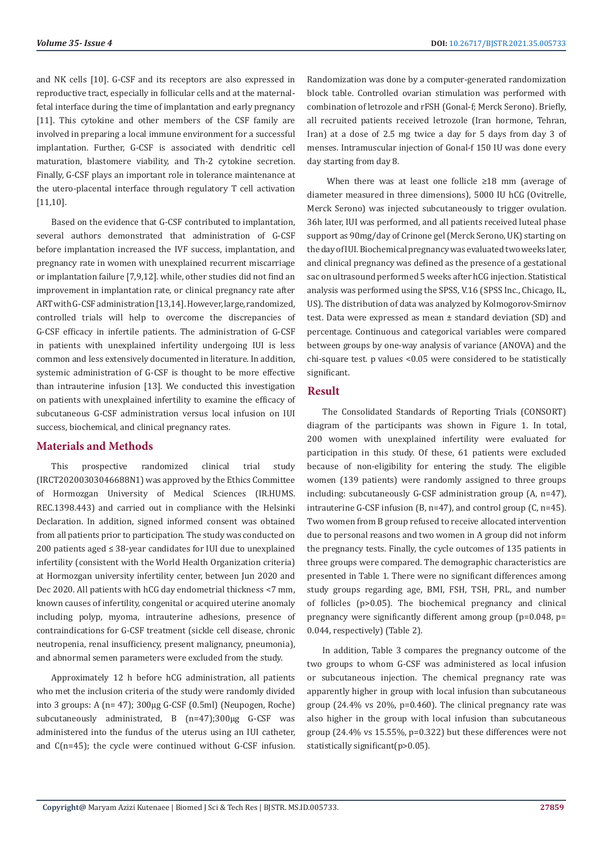and NK cells [10]. G-CSF and its receptors are also expressed in reproductive tract, especially in follicular cells and at the maternalfetal interface during the time of implantation and early pregnancy [11]. This cytokine and other members of the CSF family are involved in preparing a local immune environment for a successful implantation. Further, G-CSF is associated with dendritic cell maturation, blastomere viability, and Th-2 cytokine secretion. Finally, G-CSF plays an important role in tolerance maintenance at the utero-placental interface through regulatory T cell activation [11,10].

Based on the evidence that G-CSF contributed to implantation, several authors demonstrated that administration of G-CSF before implantation increased the IVF success, implantation, and pregnancy rate in women with unexplained recurrent miscarriage or implantation failure [7,9,12]. while, other studies did not find an improvement in implantation rate, or clinical pregnancy rate after ART with G-CSF administration [13,14]. However, large, randomized, controlled trials will help to overcome the discrepancies of G-CSF efficacy in infertile patients. The administration of G-CSF in patients with unexplained infertility undergoing IUI is less common and less extensively documented in literature. In addition, systemic administration of G-CSF is thought to be more effective than intrauterine infusion [13]. We conducted this investigation on patients with unexplained infertility to examine the efficacy of subcutaneous G-CSF administration versus local infusion on IUI success, biochemical, and clinical pregnancy rates.

# **Materials and Methods**

This prospective randomized clinical trial study (IRCT20200303046688N1) was approved by the Ethics Committee of Hormozgan University of Medical Sciences (IR.HUMS. REC.1398.443) and carried out in compliance with the Helsinki Declaration. In addition, signed informed consent was obtained from all patients prior to participation. The study was conducted on 200 patients aged ≤ 38-year candidates for IUI due to unexplained infertility (consistent with the World Health Organization criteria) at Hormozgan university infertility center, between Jun 2020 and Dec 2020. All patients with hCG day endometrial thickness <7 mm, known causes of infertility, congenital or acquired uterine anomaly including polyp, myoma, intrauterine adhesions, presence of contraindications for G-CSF treatment (sickle cell disease, chronic neutropenia, renal insufficiency, present malignancy, pneumonia), and abnormal semen parameters were excluded from the study.

Approximately 12 h before hCG administration, all patients who met the inclusion criteria of the study were randomly divided into 3 groups: A (n= 47); 300µg G-CSF (0.5ml) (Neupogen, Roche) subcutaneously administrated, B (n=47);300µg G-CSF was administered into the fundus of the uterus using an IUI catheter, and C(n=45); the cycle were continued without G-CSF infusion. Randomization was done by a computer-generated randomization block table. Controlled ovarian stimulation was performed with combination of letrozole and rFSH (Gonal-f; Merck Serono). Briefly, all recruited patients received letrozole (Iran hormone, Tehran, Iran) at a dose of 2.5 mg twice a day for 5 days from day 3 of menses. Intramuscular injection of Gonal-f 150 IU was done every day starting from day 8.

 When there was at least one follicle ≥18 mm (average of diameter measured in three dimensions), 5000 IU hCG (Ovitrelle, Merck Serono) was injected subcutaneously to trigger ovulation. 36h later, IUI was performed, and all patients received luteal phase support as 90mg/day of Crinone gel (Merck Serono, UK) starting on the day of IUI. Biochemical pregnancy was evaluated two weeks later, and clinical pregnancy was defined as the presence of a gestational sac on ultrasound performed 5 weeks after hCG injection. Statistical analysis was performed using the SPSS, V.16 (SPSS Inc., Chicago, IL, US). The distribution of data was analyzed by Kolmogorov-Smirnov test. Data were expressed as mean ± standard deviation (SD) and percentage. Continuous and categorical variables were compared between groups by one-way analysis of variance (ANOVA) and the chi-square test. p values <0.05 were considered to be statistically significant.

## **Result**

The Consolidated Standards of Reporting Trials (CONSORT) diagram of the participants was shown in Figure 1. In total, 200 women with unexplained infertility were evaluated for participation in this study. Of these, 61 patients were excluded because of non-eligibility for entering the study. The eligible women (139 patients) were randomly assigned to three groups including: subcutaneously G-CSF administration group (A, n=47), intrauterine G-CSF infusion (B, n=47), and control group (C, n=45). Two women from B group refused to receive allocated intervention due to personal reasons and two women in A group did not inform the pregnancy tests. Finally, the cycle outcomes of 135 patients in three groups were compared. The demographic characteristics are presented in Table 1. There were no significant differences among study groups regarding age, BMI, FSH, TSH, PRL, and number of follicles (p>0.05). The biochemical pregnancy and clinical pregnancy were significantly different among group (p=0.048, p= 0.044, respectively) (Table 2).

In addition, Table 3 compares the pregnancy outcome of the two groups to whom G-CSF was administered as local infusion or subcutaneous injection. The chemical pregnancy rate was apparently higher in group with local infusion than subcutaneous group  $(24.4\% \text{ vs } 20\% \text{, } p=0.460)$ . The clinical pregnancy rate was also higher in the group with local infusion than subcutaneous group (24.4% vs 15.55%, p=0.322) but these differences were not statistically significant(p>0.05).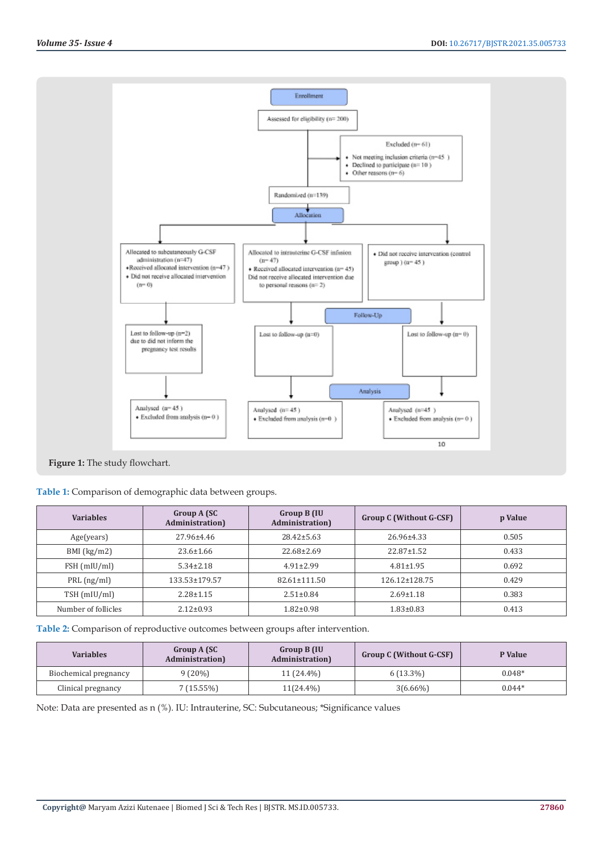

**Figure 1:** The study flowchart.

|  | Table 1: Comparison of demographic data between groups. |  |
|--|---------------------------------------------------------|--|
|  |                                                         |  |

| <b>Variables</b>    | Group A (SC)<br><b>Administration</b> ) | Group B (IU<br><b>Administration</b> ) | Group C (Without G-CSF) | p Value |
|---------------------|-----------------------------------------|----------------------------------------|-------------------------|---------|
| Age(years)          | $27.96 \pm 4.46$                        | $28.42 \pm 5.63$                       | 26.96±4.33              | 0.505   |
| $BMI$ (kg/m2)       | $23.6 \pm 1.66$                         | $22.68 \pm 2.69$                       | $22.87 \pm 1.52$        | 0.433   |
| FSH (mIU/ml)        | $5.34 \pm 2.18$                         | $4.91 \pm 2.99$                        | $4.81 \pm 1.95$         | 0.692   |
| $PRL$ (ng/ml)       | 133.53±179.57                           | $82.61 \pm 111.50$                     | 126.12±128.75           | 0.429   |
| TSH (mIU/ml)        | $2.28 \pm 1.15$                         | $2.51 \pm 0.84$                        | $2.69 \pm 1.18$         | 0.383   |
| Number of follicles | $2.12 \pm 0.93$                         | $1.82 \pm 0.98$                        | $1.83 \pm 0.83$         | 0.413   |

**Table 2:** Comparison of reproductive outcomes between groups after intervention.

| <b>Variables</b>      | Group A (SC<br><b>Administration</b> ) | Group B (IU<br><b>Administration</b> | <b>Group C (Without G-CSF)</b> | P Value  |
|-----------------------|----------------------------------------|--------------------------------------|--------------------------------|----------|
| Biochemical pregnancy | $9(20\%)$                              | 11 (24.4%)                           | $6(13.3\%)$                    | $0.048*$ |
| Clinical pregnancy    | 7 (15.55%)                             | $11(24.4\%)$                         | $3(6.66\%)$                    | $0.044*$ |

Note: Data are presented as n (%). IU: Intrauterine, SC: Subcutaneous; \*Significance values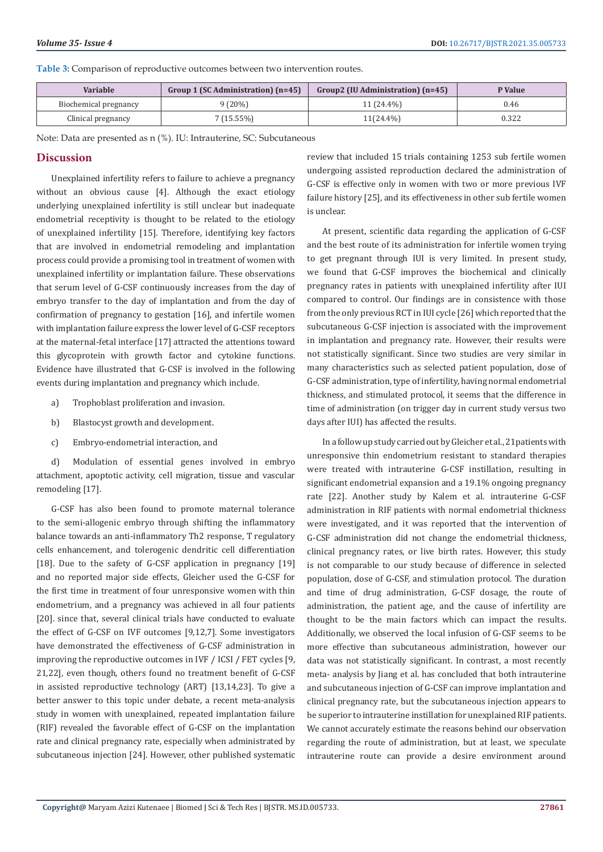**Table 3:** Comparison of reproductive outcomes between two intervention routes.

| Variable              | Group 1 (SC Administration) (n=45) | Group2 (IU Administration) (n=45) | P Value |
|-----------------------|------------------------------------|-----------------------------------|---------|
| Biochemical pregnancy | $9(20\%)$                          | 11 (24.4%)                        | 0.46    |
| Clinical pregnancy    | $(15.55\%)$                        | $11(24.4\%)$                      | 0.322   |

Note: Data are presented as n (%). IU: Intrauterine, SC: Subcutaneous

## **Discussion**

Unexplained infertility refers to failure to achieve a pregnancy without an obvious cause [4]. Although the exact etiology underlying unexplained infertility is still unclear but inadequate endometrial receptivity is thought to be related to the etiology of unexplained infertility [15]. Therefore, identifying key factors that are involved in endometrial remodeling and implantation process could provide a promising tool in treatment of women with unexplained infertility or implantation failure. These observations that serum level of G-CSF continuously increases from the day of embryo transfer to the day of implantation and from the day of confirmation of pregnancy to gestation [16], and infertile women with implantation failure express the lower level of G-CSF receptors at the maternal-fetal interface [17] attracted the attentions toward this glycoprotein with growth factor and cytokine functions. Evidence have illustrated that G-CSF is involved in the following events during implantation and pregnancy which include.

- a) Trophoblast proliferation and invasion.
- b) Blastocyst growth and development.
- c) Embryo-endometrial interaction, and

d) Modulation of essential genes involved in embryo attachment, apoptotic activity, cell migration, tissue and vascular remodeling [17].

G-CSF has also been found to promote maternal tolerance to the semi-allogenic embryo through shifting the inflammatory balance towards an anti-inflammatory Th2 response, T regulatory cells enhancement, and tolerogenic dendritic cell differentiation [18]. Due to the safety of G-CSF application in pregnancy [19] and no reported major side effects, Gleicher used the G-CSF for the first time in treatment of four unresponsive women with thin endometrium, and a pregnancy was achieved in all four patients [20]. since that, several clinical trials have conducted to evaluate the effect of G-CSF on IVF outcomes [9,12,7]. Some investigators have demonstrated the effectiveness of G-CSF administration in improving the reproductive outcomes in IVF / ICSI / FET cycles [9, 21,22], even though, others found no treatment benefit of G-CSF in assisted reproductive technology (ART) [13,14,23]. To give a better answer to this topic under debate, a recent meta-analysis study in women with unexplained, repeated implantation failure (RIF) revealed the favorable effect of G-CSF on the implantation rate and clinical pregnancy rate, especially when administrated by subcutaneous injection [24]. However, other published systematic review that included 15 trials containing 1253 sub fertile women undergoing assisted reproduction declared the administration of G-CSF is effective only in women with two or more previous IVF failure history [25], and its effectiveness in other sub fertile women is unclear.

At present, scientific data regarding the application of G-CSF and the best route of its administration for infertile women trying to get pregnant through IUI is very limited. In present study, we found that G-CSF improves the biochemical and clinically pregnancy rates in patients with unexplained infertility after IUI compared to control. Our findings are in consistence with those from the only previous RCT in IUI cycle [26] which reported that the subcutaneous G-CSF injection is associated with the improvement in implantation and pregnancy rate. However, their results were not statistically significant. Since two studies are very similar in many characteristics such as selected patient population, dose of G-CSF administration, type of infertility, having normal endometrial thickness, and stimulated protocol, it seems that the difference in time of administration (on trigger day in current study versus two days after IUI) has affected the results.

In a follow up study carried out by Gleicher et al., 21patients with unresponsive thin endometrium resistant to standard therapies were treated with intrauterine G-CSF instillation, resulting in significant endometrial expansion and a 19.1% ongoing pregnancy rate [22]. Another study by Kalem et al. intrauterine G-CSF administration in RIF patients with normal endometrial thickness were investigated, and it was reported that the intervention of G-CSF administration did not change the endometrial thickness, clinical pregnancy rates, or live birth rates. However, this study is not comparable to our study because of difference in selected population, dose of G-CSF, and stimulation protocol. The duration and time of drug administration, G-CSF dosage, the route of administration, the patient age, and the cause of infertility are thought to be the main factors which can impact the results. Additionally, we observed the local infusion of G-CSF seems to be more effective than subcutaneous administration, however our data was not statistically significant. In contrast, a most recently meta- analysis by Jiang et al. has concluded that both intrauterine and subcutaneous injection of G-CSF can improve implantation and clinical pregnancy rate, but the subcutaneous injection appears to be superior to intrauterine instillation for unexplained RIF patients. We cannot accurately estimate the reasons behind our observation regarding the route of administration, but at least, we speculate intrauterine route can provide a desire environment around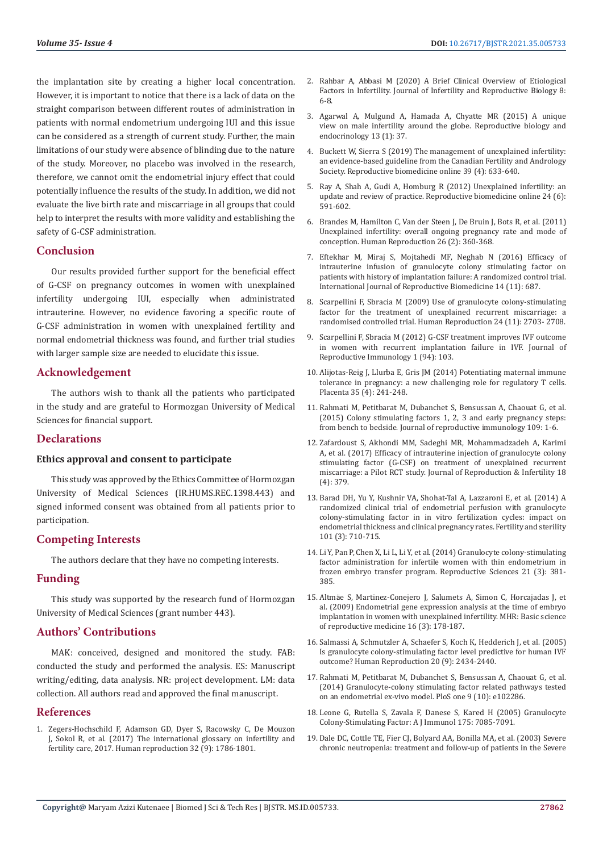the implantation site by creating a higher local concentration. However, it is important to notice that there is a lack of data on the straight comparison between different routes of administration in patients with normal endometrium undergoing IUI and this issue can be considered as a strength of current study. Further, the main limitations of our study were absence of blinding due to the nature of the study. Moreover, no placebo was involved in the research, therefore, we cannot omit the endometrial injury effect that could potentially influence the results of the study. In addition, we did not evaluate the live birth rate and miscarriage in all groups that could help to interpret the results with more validity and establishing the safety of G-CSF administration.

## **Conclusion**

Our results provided further support for the beneficial effect of G-CSF on pregnancy outcomes in women with unexplained infertility undergoing IUI, especially when administrated intrauterine. However, no evidence favoring a specific route of G-CSF administration in women with unexplained fertility and normal endometrial thickness was found, and further trial studies with larger sample size are needed to elucidate this issue.

## **Acknowledgement**

The authors wish to thank all the patients who participated in the study and are grateful to Hormozgan University of Medical Sciences for financial support.

## **Declarations**

#### **Ethics approval and consent to participate**

This study was approved by the Ethics Committee of Hormozgan University of Medical Sciences (IR.HUMS.REC.1398.443) and signed informed consent was obtained from all patients prior to participation.

# **Competing Interests**

The authors declare that they have no competing interests.

## **Funding**

This study was supported by the research fund of Hormozgan University of Medical Sciences (grant number 443).

## **Authors' Contributions**

MAK: conceived, designed and monitored the study. FAB: conducted the study and performed the analysis. ES: Manuscript writing/editing, data analysis. NR: project development. LM: data collection. All authors read and approved the final manuscript.

## **References**

1. [Zegers-Hochschild F, Adamson GD, Dyer S, Racowsky C, De Mouzon](https://pubmed.ncbi.nlm.nih.gov/29117321/)  [J, Sokol R, et al. \(2017\) The international glossary on infertility and](https://pubmed.ncbi.nlm.nih.gov/29117321/)  [fertility care, 2017. Human reproduction 32 \(9\): 1786-1801](https://pubmed.ncbi.nlm.nih.gov/29117321/).

- 2. Rahbar A, Abbasi M (2020) A Brief Clinical Overview of Etiological Factors in Infertility. Journal of Infertility and Reproductive Biology 8: 6-8.
- 3. [Agarwal A, Mulgund A, Hamada A, Chyatte MR \(2015\) A unique](https://pubmed.ncbi.nlm.nih.gov/25928197/) [view on male infertility around the globe. Reproductive biology and](https://pubmed.ncbi.nlm.nih.gov/25928197/) [endocrinology 13 \(1\): 37.](https://pubmed.ncbi.nlm.nih.gov/25928197/)
- 4. [Buckett W, Sierra S \(2019\) The management of unexplained infertility:](https://pubmed.ncbi.nlm.nih.gov/31439397/) [an evidence-based guideline from the Canadian Fertility and Andrology](https://pubmed.ncbi.nlm.nih.gov/31439397/) [Society. Reproductive biomedicine online 39 \(4\): 633-640.](https://pubmed.ncbi.nlm.nih.gov/31439397/)
- 5. [Ray A, Shah A, Gudi A, Homburg R \(2012\) Unexplained infertility: an](https://pubmed.ncbi.nlm.nih.gov/22503948/) [update and review of practice. Reproductive biomedicine online 24 \(6\):](https://pubmed.ncbi.nlm.nih.gov/22503948/) [591-602.](https://pubmed.ncbi.nlm.nih.gov/22503948/)
- 6. [Brandes M, Hamilton C, Van der Steen J, De Bruin J, Bots R, et al. \(2011\)](https://academic.oup.com/humrep/article/26/2/360/595834) [Unexplained infertility: overall ongoing pregnancy rate and mode of](https://academic.oup.com/humrep/article/26/2/360/595834) [conception. Human Reproduction 26 \(2\): 360-368.](https://academic.oup.com/humrep/article/26/2/360/595834)
- 7. [Eftekhar M, Miraj S, Mojtahedi MF, Neghab N \(2016\) Efficacy of](https://www.ncbi.nlm.nih.gov/pmc/articles/PMC5153573/) [intrauterine infusion of granulocyte colony stimulating factor on](https://www.ncbi.nlm.nih.gov/pmc/articles/PMC5153573/) [patients with history of implantation failure: A randomized control trial.](https://www.ncbi.nlm.nih.gov/pmc/articles/PMC5153573/) [International Journal of Reproductive Biomedicine 14 \(11\): 687.](https://www.ncbi.nlm.nih.gov/pmc/articles/PMC5153573/)
- 8. [Scarpellini F, Sbracia M \(2009\) Use of granulocyte colony-stimulating](https://pubmed.ncbi.nlm.nih.gov/19617208/) [factor for the treatment of unexplained recurrent miscarriage: a](https://pubmed.ncbi.nlm.nih.gov/19617208/) [randomised controlled trial. Human Reproduction 24 \(11\): 2703- 2708.](https://pubmed.ncbi.nlm.nih.gov/19617208/)
- 9. Scarpellini F, Sbracia M (2012) G-CSF treatment improves IVF outcome in women with recurrent implantation failure in IVF. Journal of Reproductive Immunology 1 (94): 103.
- 10. [Alijotas-Reig J, Llurba E, Gris JM \(2014\) Potentiating maternal immune](https://pubmed.ncbi.nlm.nih.gov/24581729/) [tolerance in pregnancy: a new challenging role for regulatory T cells.](https://pubmed.ncbi.nlm.nih.gov/24581729/) [Placenta 35 \(4\): 241-248.](https://pubmed.ncbi.nlm.nih.gov/24581729/)
- 11. [Rahmati M, Petitbarat M, Dubanchet S, Bensussan A, Chaouat G, et al.](https://pubmed.ncbi.nlm.nih.gov/25721620/) [\(2015\) Colony stimulating factors 1, 2, 3 and early pregnancy steps:](https://pubmed.ncbi.nlm.nih.gov/25721620/) [from bench to bedside. Journal of reproductive immunology 109: 1-6.](https://pubmed.ncbi.nlm.nih.gov/25721620/)
- 12. [Zafardoust S, Akhondi MM, Sadeghi MR, Mohammadzadeh A, Karimi](https://pubmed.ncbi.nlm.nih.gov/29201668/) [A, et al. \(2017\) Efficacy of intrauterine injection of granulocyte colony](https://pubmed.ncbi.nlm.nih.gov/29201668/) [stimulating factor \(G-CSF\) on treatment of unexplained recurrent](https://pubmed.ncbi.nlm.nih.gov/29201668/) [miscarriage: a Pilot RCT study. Journal of Reproduction & Infertility 18](https://pubmed.ncbi.nlm.nih.gov/29201668/) [\(4\): 379.](https://pubmed.ncbi.nlm.nih.gov/29201668/)
- 13. [Barad DH, Yu Y, Kushnir VA, Shohat-Tal A, Lazzaroni E, et al. \(2014\) A](https://pubmed.ncbi.nlm.nih.gov/24424357/) [randomized clinical trial of endometrial perfusion with granulocyte](https://pubmed.ncbi.nlm.nih.gov/24424357/) [colony-stimulating factor in in vitro fertilization cycles: impact on](https://pubmed.ncbi.nlm.nih.gov/24424357/) [endometrial thickness and clinical pregnancy rates. Fertility and sterility](https://pubmed.ncbi.nlm.nih.gov/24424357/) [101 \(3\): 710-715.](https://pubmed.ncbi.nlm.nih.gov/24424357/)
- 14. [Li Y, Pan P, Chen X, Li L, Li Y, et al. \(2014\) Granulocyte colony-stimulating](https://pubmed.ncbi.nlm.nih.gov/23885097/) [factor administration for infertile women with thin endometrium in](https://pubmed.ncbi.nlm.nih.gov/23885097/) [frozen embryo transfer program. Reproductive Sciences 21 \(3\): 381-](https://pubmed.ncbi.nlm.nih.gov/23885097/) [385.](https://pubmed.ncbi.nlm.nih.gov/23885097/)
- 15. Altmä[e S, Martinez-Conejero J, Salumets A, Simon C, Horcajadas J, et](https://pubmed.ncbi.nlm.nih.gov/19933690/) [al. \(2009\) Endometrial gene expression analysis at the time of embryo](https://pubmed.ncbi.nlm.nih.gov/19933690/) [implantation in women with unexplained infertility. MHR: Basic science](https://pubmed.ncbi.nlm.nih.gov/19933690/) [of reproductive medicine 16 \(3\): 178-187.](https://pubmed.ncbi.nlm.nih.gov/19933690/)
- 16. [Salmassi A, Schmutzler A, Schaefer S, Koch K, Hedderich J, et al. \(2005\)](https://pubmed.ncbi.nlm.nih.gov/15890733/) [Is granulocyte colony-stimulating factor level predictive for human IVF](https://pubmed.ncbi.nlm.nih.gov/15890733/) [outcome? Human Reproduction 20 \(9\): 2434-2440.](https://pubmed.ncbi.nlm.nih.gov/15890733/)
- 17. [Rahmati M, Petitbarat M, Dubanchet S, Bensussan A, Chaouat G, et al.](https://www.ncbi.nlm.nih.gov/pmc/articles/PMC4183482/) [\(2014\) Granulocyte-colony stimulating factor related pathways tested](https://www.ncbi.nlm.nih.gov/pmc/articles/PMC4183482/) [on an endometrial ex-vivo model. PloS one 9 \(10\): e102286.](https://www.ncbi.nlm.nih.gov/pmc/articles/PMC4183482/)
- 18. [Leone G, Rutella S, Zavala F, Danese S, Kared H \(2005\) Granulocyte](https://pubmed.ncbi.nlm.nih.gov/16301609/) [Colony-Stimulating Factor: A J Immunol 175: 7085-7091.](https://pubmed.ncbi.nlm.nih.gov/16301609/)
- 19. [Dale DC, Cottle TE, Fier CJ, Bolyard AA, Bonilla MA, et al. \(2003\) Severe](https://pubmed.ncbi.nlm.nih.gov/12555210/) [chronic neutropenia: treatment and follow‐up of patients in the Severe](https://pubmed.ncbi.nlm.nih.gov/12555210/)